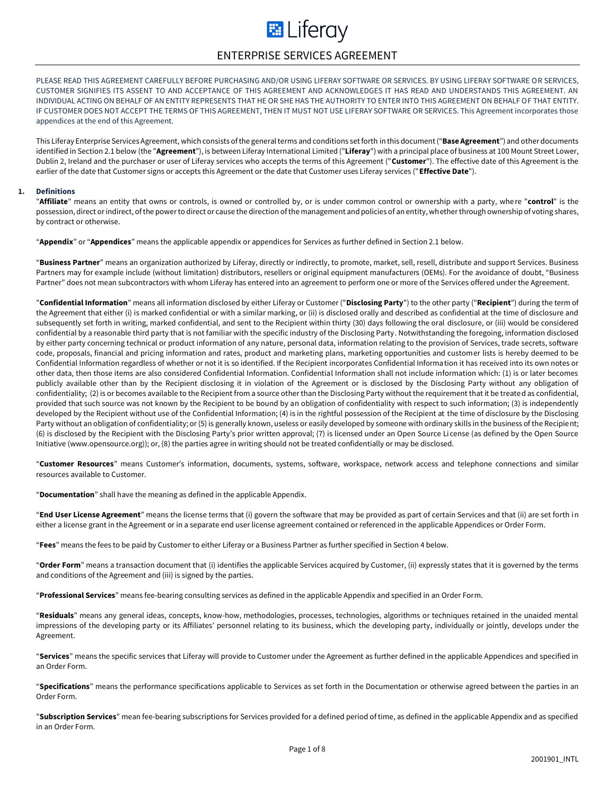# **E** Liferay ENTERPRISE SERVICES AGREEMENT

PLEASE READ THIS AGREEMENT CAREFULLY BEFORE PURCHASING AND/OR USING LIFERAY SOFTWARE OR SERVICES. BY USING LIFERAY SOFTWARE OR SERVICES, CUSTOMER SIGNIFIES ITS ASSENT TO AND ACCEPTANCE OF THIS AGREEMENT AND ACKNOWLEDGES IT HAS READ AND UNDERSTANDS THIS AGREEMENT. AN INDIVIDUAL ACTING ON BEHALF OF AN ENTITY REPRESENTS THAT HE OR SHE HAS THE AUTHORITY TO ENTER INTO THIS AGREEMENT ON BEHALF OF THAT ENTITY. IF CUSTOMER DOES NOT ACCEPT THE TERMS OF THIS AGREEMENT, THEN IT MUST NOT USE LIFERAY SOFTWARE OR SERVICES. This Agreement incorporates those appendices at the end of this Agreement.

This Liferay Enterprise Services Agreement, which consists of the general terms and conditions set forth in this document ("**Base Agreement**") and other documents identified in Section 2.1 below (the "**Agreement**"), is between Liferay International Limited ("**Liferay**") with a principal place of business at 100 Mount Street Lower, Dublin 2, Ireland and the purchaser or user of Liferay services who accepts the terms of this Agreement ("**Customer**"). The effective date of this Agreement is the earlier of the date that Customer signs or accepts this Agreement or the date that Customer uses Liferay services ("**Effective Date**").

## **1. Definitions**

"**Affiliate**" means an entity that owns or controls, is owned or controlled by, or is under common control or ownership with a party, where "**control**" is the possession, direct or indirect, of the power to direct or cause the direction of the management and policies of an entity, whether through ownership of voting shares, by contract or otherwise.

"**Appendix**" or "**Appendices**" means the applicable appendix or appendices for Services as further defined in Section 2.1 below.

"**Business Partner**" means an organization authorized by Liferay, directly or indirectly, to promote, market, sell, resell, distribute and support Services. Business Partners may for example include (without limitation) distributors, resellers or original equipment manufacturers (OEMs). For the avoidance of doubt, "Business Partner" does not mean subcontractors with whom Liferay has entered into an agreement to perform one or more of the Services offered under the Agreement.

"**Confidential Information**" means all information disclosed by either Liferay or Customer ("**Disclosing Party**") to the other party ("**Recipient**") during the term of the Agreement that either (i) is marked confidential or with a similar marking, or (ii) is disclosed orally and described as confidential at the time of disclosure and subsequently set forth in writing, marked confidential, and sent to the Recipient within thirty (30) days following the oral disclosure, or (iii) would be considered confidential by a reasonable third party that is not familiar with the specific industry of the Disclosing Party. Notwithstanding the foregoing, information disclosed by either party concerning technical or product information of any nature, personal data, information relating to the provision of Services, trade secrets, software code, proposals, financial and pricing information and rates, product and marketing plans, marketing opportunities and customer lists is hereby deemed to be Confidential Information regardless of whether or not it is so identified. If the Recipient incorporates Confidential Information it has received into its own notes or other data, then those items are also considered Confidential Information. Confidential Information shall not include information which: (1) is or later becomes publicly available other than by the Recipient disclosing it in violation of the Agreement or is disclosed by the Disclosing Party without any obligation of confidentiality; (2) is or becomes available to the Recipient from a source other than the Disclosing Party without the requirement that it be treated as confidential, provided that such source was not known by the Recipient to be bound by an obligation of confidentiality with respect to such information; (3) is independently developed by the Recipient without use of the Confidential Information; (4) is in the rightful possession of the Recipient at the time of disclosure by the Disclosing Party without an obligation of confidentiality; or (5) is generally known, useless or easily developed by someone with ordinary skills in the business of the Recipient; (6) is disclosed by the Recipient with the Disclosing Party's prior written approval; (7) is licensed under an Open Source License (as defined by the Open Source Initiative (www.opensource.org)); or, (8) the parties agree in writing should not be treated confidentially or may be disclosed.

"**Customer Resources**" means Customer's information, documents, systems, software, workspace, network access and telephone connections and similar resources available to Customer.

"**Documentation**" shall have the meaning as defined in the applicable Appendix.

"**End User License Agreement**" means the license terms that (i) govern the software that may be provided as part of certain Services and that (ii) are set forth in either a license grant in the Agreement or in a separate end user license agreement contained or referenced in the applicable Appendices or Order Form.

"**Fees**" means the fees to be paid by Customer to either Liferay or a Business Partner as further specified in Section 4 below.

"**Order Form**" means a transaction document that (i) identifies the applicable Services acquired by Customer, (ii) expressly states that it is governed by the terms and conditions of the Agreement and (iii) is signed by the parties.

"**Professional Services**" means fee-bearing consulting services as defined in the applicable Appendix and specified in an Order Form.

"**Residuals**" means any general ideas, concepts, know-how, methodologies, processes, technologies, algorithms or techniques retained in the unaided mental impressions of the developing party or its Affiliates' personnel relating to its business, which the developing party, individually or jointly, develops under the Agreement.

"**Services**" means the specific services that Liferay will provide to Customer under the Agreement as further defined in the applicable Appendices and specified in an Order Form.

"**Specifications**" means the performance specifications applicable to Services as set forth in the Documentation or otherwise agreed between the parties in an Order Form.

"**Subscription Services**" mean fee-bearing subscriptions for Services provided for a defined period of time, as defined in the applicable Appendix and as specified in an Order Form.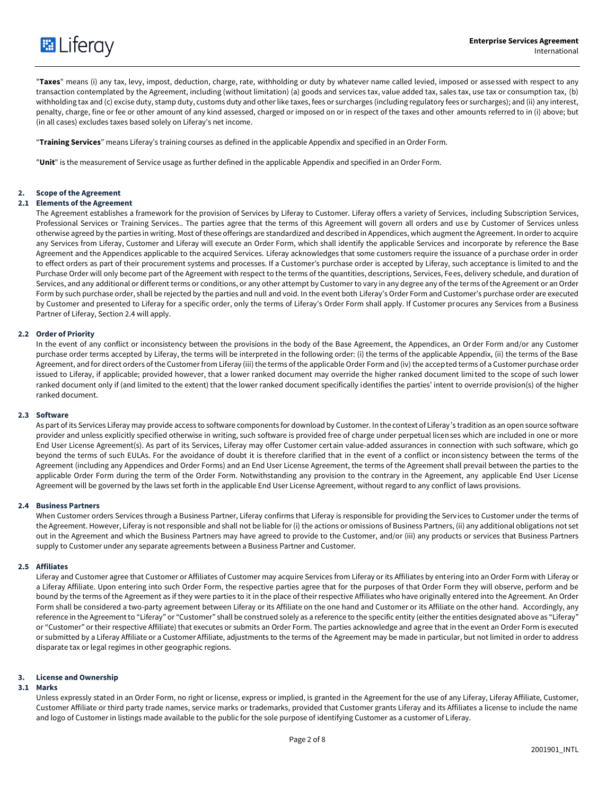

"**Taxes**" means (i) any tax, levy, impost, deduction, charge, rate, withholding or duty by whatever name called levied, imposed or assessed with respect to any transaction contemplated by the Agreement, including (without limitation) (a) goods and services tax, value added tax, sales tax, use tax or consumption tax, (b) withholding tax and (c) excise duty, stamp duty, customs duty and other like taxes, fees or surcharges (including regulatory fees or surcharges); and (ii) any interest, penalty, charge, fine or fee or other amount of any kind assessed, charged or imposed on or in respect of the taxes and other amounts referred to in (i) above; but (in all cases) excludes taxes based solely on Liferay's net income.

"**Training Services**" means Liferay's training courses as defined in the applicable Appendix and specified in an Order Form.

"**Unit**" is the measurement of Service usage as further defined in the applicable Appendix and specified in an Order Form.

## **2. Scope of the Agreement**

## **2.1 Elements of the Agreement**

The Agreement establishes a framework for the provision of Services by Liferay to Customer. Liferay offers a variety of Services, including Subscription Services, Professional Services or Training Services.. The parties agree that the terms of this Agreement will govern all orders and use by Customer of Services unless otherwise agreed by the parties in writing. Most of these offerings are standardized and described in Appendices, which augment the Agreement. In order to acquire any Services from Liferay, Customer and Liferay will execute an Order Form, which shall identify the applicable Services and incorporate by reference the Base Agreement and the Appendices applicable to the acquired Services. Liferay acknowledges that some customers require the issuance of a purchase order in order to effect orders as part of their procurement systems and processes. If a Customer's purchase order is accepted by Liferay, such acceptance is limited to and the Purchase Order will only become part of the Agreement with respect to the terms of the quantities, descriptions, Services, Fees, delivery schedule, and duration of Services, and any additional or different terms or conditions, or any other attempt by Customer to vary in any degree any of the terms of the Agreement or an Order Form by such purchase order, shall be rejected by the parties and null and void. In the event both Liferay's Order Form and Customer's purchase order are executed by Customer and presented to Liferay for a specific order, only the terms of Liferay's Order Form shall apply. If Customer procures any Services from a Business Partner of Liferay, Section 2.4 will apply.

## **2.2 Order of Priority**

In the event of any conflict or inconsistency between the provisions in the body of the Base Agreement, the Appendices, an Order Form and/or any Customer purchase order terms accepted by Liferay, the terms will be interpreted in the following order: (i) the terms of the applicable Appendix, (ii) the terms of the Base Agreement, and for direct orders of the Customer from Liferay (iii) the terms of the applicable Order Form and (iv) the accepted terms of a Customer purchase order issued to Liferay, if applicable; provided however, that a lower ranked document may override the higher ranked document limited to the scope of such lower ranked document only if (and limited to the extent) that the lower ranked document specifically identifies the parties' intent to override provision(s) of the higher ranked document.

## **2.3 Software**

As part of its Services Liferay may provide access to software components for download by Customer. In the context of Liferay's tradition as an open source software provider and unless explicitly specified otherwise in writing, such software is provided free of charge under perpetual licenses which are included in one or more End User License Agreement(s). As part of its Services, Liferay may offer Customer certain value-added assurances in connection with such software, which go beyond the terms of such EULAs. For the avoidance of doubt it is therefore clarified that in the event of a conflict or inconsistency between the terms of the Agreement (including any Appendices and Order Forms) and an End User License Agreement, the terms of the Agreement shall prevail between the parties to the applicable Order Form during the term of the Order Form. Notwithstanding any provision to the contrary in the Agreement, any applicable End User License Agreement will be governed by the laws set forth in the applicable End User License Agreement, without regard to any conflict of laws provisions.

## **2.4 Business Partners**

When Customer orders Services through a Business Partner, Liferay confirms that Liferay is responsible for providing the Services to Customer under the terms of the Agreement. However, Liferay is not responsible and shall not be liable for (i) the actions or omissions of Business Partners, (ii) any additional obligations not set out in the Agreement and which the Business Partners may have agreed to provide to the Customer, and/or (iii) any products or services that Business Partners supply to Customer under any separate agreements between a Business Partner and Customer.

## **2.5 Affiliates**

Liferay and Customer agree that Customer or Affiliates of Customer may acquire Services from Liferay or its Affiliates by entering into an Order Form with Liferay or a Liferay Affiliate. Upon entering into such Order Form, the respective parties agree that for the purposes of that Order Form they will observe, perform and be bound by the terms of the Agreement as if they were parties to it in the place of their respective Affiliates who have originally entered into the Agreement. An Order Form shall be considered a two-party agreement between Liferay or its Affiliate on the one hand and Customer or its Affiliate on the other hand. Accordingly, any reference in the Agreement to "Liferay" or "Customer" shall be construed solely as a reference to the specific entity (either the entities designated above as "Liferay" or "Customer" or their respective Affiliate) that executes or submits an Order Form. The parties acknowledge and agree that in the event an Order Form is executed or submitted by a Liferay Affiliate or a Customer Affiliate, adjustments to the terms of the Agreement may be made in particular, but not limited in order to address disparate tax or legal regimes in other geographic regions.

## **3. License and Ownership**

## **3.1 Marks**

Unless expressly stated in an Order Form, no right or license, express or implied, is granted in the Agreement for the use of any Liferay, Liferay Affiliate, Customer, Customer Affiliate or third party trade names, service marks or trademarks, provided that Customer grants Liferay and its Affiliates a license to include the name and logo of Customer in listings made available to the public for the sole purpose of identifying Customer as a customer of Liferay.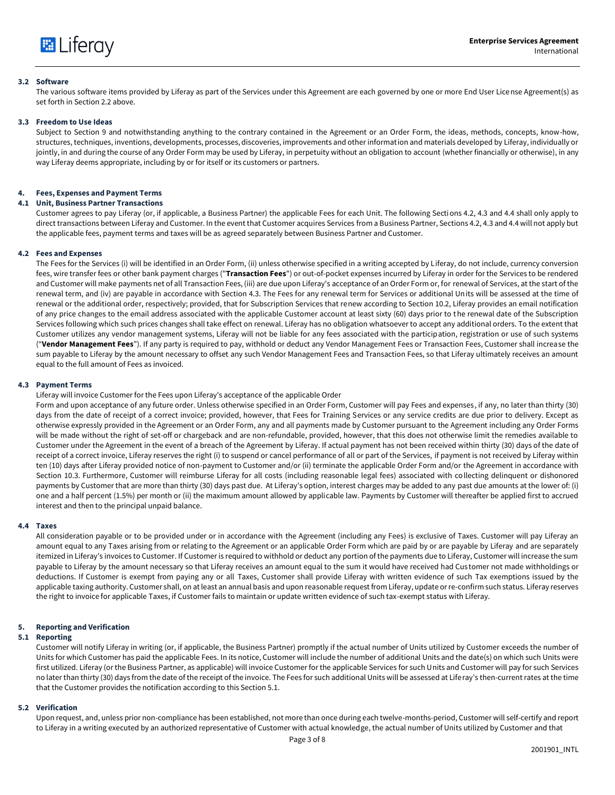

## **3.2 Software**

The various software items provided by Liferay as part of the Services under this Agreement are each governed by one or more End User License Agreement(s) as set forth in Section 2.2 above.

## **3.3 Freedom to Use Ideas**

Subject to Section 9 and notwithstanding anything to the contrary contained in the Agreement or an Order Form, the ideas, methods, concepts, know-how, structures, techniques, inventions, developments, processes, discoveries, improvements and other information and materials developed by Liferay, individually or jointly, in and during the course of any Order Form may be used by Liferay, in perpetuity without an obligation to account (whether financially or otherwise), in any way Liferay deems appropriate, including by or for itself or its customers or partners.

## **4. Fees, Expenses and Payment Terms**

## **4.1 Unit, Business Partner Transactions**

Customer agrees to pay Liferay (or, if applicable, a Business Partner) the applicable Fees for each Unit. The following Sections 4.2, 4.3 and 4.4 shall only apply to direct transactions between Liferay and Customer. In the event that Customer acquires Services from a Business Partner, Sections 4.2, 4.3 and 4.4 will not apply but the applicable fees, payment terms and taxes will be as agreed separately between Business Partner and Customer.

## **4.2 Fees and Expenses**

The Fees for the Services (i) will be identified in an Order Form, (ii) unless otherwise specified in a writing accepted by Liferay, do not include, currency conversion fees, wire transfer fees or other bank payment charges ("**Transaction Fees**") or out-of-pocket expenses incurred by Liferay in order for the Services to be rendered and Customer will make payments net of all Transaction Fees, (iii) are due upon Liferay's acceptance of an Order Form or, for renewal of Services, at the start of the renewal term, and (iv) are payable in accordance with Section 4.3. The Fees for any renewal term for Services or additional Units will be assessed at the time of renewal or the additional order, respectively; provided, that for Subscription Services that renew according to Section 10.2, Liferay provides an email notification of any price changes to the email address associated with the applicable Customer account at least sixty (60) days prior to the renewal date of the Subscription Services following which such prices changes shall take effect on renewal. Liferay has no obligation whatsoever to accept any additional orders. To the extent that Customer utilizes any vendor management systems, Liferay will not be liable for any fees associated with the participation, registration or use of such systems ("**Vendor Management Fees**"). If any party is required to pay, withhold or deduct any Vendor Management Fees or Transaction Fees, Customer shall increase the sum payable to Liferay by the amount necessary to offset any such Vendor Management Fees and Transaction Fees, so that Liferay ultimately receives an amount equal to the full amount of Fees as invoiced.

## **4.3 Payment Terms**

Liferay will invoice Customer for the Fees upon Liferay's acceptance of the applicable Order

Form and upon acceptance of any future order. Unless otherwise specified in an Order Form, Customer will pay Fees and expenses, if any, no later than thirty (30) days from the date of receipt of a correct invoice; provided, however, that Fees for Training Services or any service credits are due prior to delivery. Except as otherwise expressly provided in the Agreement or an Order Form, any and all payments made by Customer pursuant to the Agreement including any Order Forms will be made without the right of set-off or chargeback and are non-refundable, provided, however, that this does not otherwise limit the remedies available to Customer under the Agreement in the event of a breach of the Agreement by Liferay. If actual payment has not been received within thirty (30) days of the date of receipt of a correct invoice, Liferay reserves the right (i) to suspend or cancel performance of all or part of the Services, if payment is not received by Liferay within ten (10) days after Liferay provided notice of non-payment to Customer and/or (ii) terminate the applicable Order Form and/or the Agreement in accordance with Section 10.3. Furthermore, Customer will reimburse Liferay for all costs (including reasonable legal fees) associated with collecting delinquent or dishonored payments by Customer that are more than thirty (30) days past due. At Liferay's option, interest charges may be added to any past due amounts at the lower of: (i) one and a half percent (1.5%) per month or (ii) the maximum amount allowed by applicable law. Payments by Customer will thereafter be applied first to accrued interest and then to the principal unpaid balance.

## **4.4 Taxes**

All consideration payable or to be provided under or in accordance with the Agreement (including any Fees) is exclusive of Taxes. Customer will pay Liferay an amount equal to any Taxes arising from or relating to the Agreement or an applicable Order Form which are paid by or are payable by Liferay and are separately itemized in Liferay's invoices to Customer. If Customer is required to withhold or deduct any portion of the payments due to Liferay, Customer will increase the sum payable to Liferay by the amount necessary so that Liferay receives an amount equal to the sum it would have received had Cus tomer not made withholdings or deductions. If Customer is exempt from paying any or all Taxes, Customer shall provide Liferay with written evidence of such Tax exemptions issued by the applicable taxing authority. Customer shall, on at least an annual basis and upon reasonable request from Liferay, update or re-confirm such status. Liferay reserves the right to invoice for applicable Taxes, if Customer fails to maintain or update written evidence of such tax-exempt status with Liferay.

## **5. Reporting and Verification**

#### **5.1 Reporting**

Customer will notify Liferay in writing (or, if applicable, the Business Partner) promptly if the actual number of Units utilized by Customer exceeds the number of Units for which Customer has paid the applicable Fees. In its notice, Customer will include the number of additional Units and the date(s) on which such Units were first utilized. Liferay (or the Business Partner, as applicable) will invoice Customer for the applicable Services for such Units and Customer will pay for such Services no later than thirty (30) days from the date of the receipt of the invoice. The Fees for such additional Units will be assessed at Liferay's then-current rates at the time that the Customer provides the notification according to this Section 5.1.

## **5.2 Verification**

Upon request, and, unless prior non-compliance has been established, not more than once during each twelve-months-period, Customer will self-certify and report to Liferay in a writing executed by an authorized representative of Customer with actual knowledge, the actual number of Units utilized by Customer and that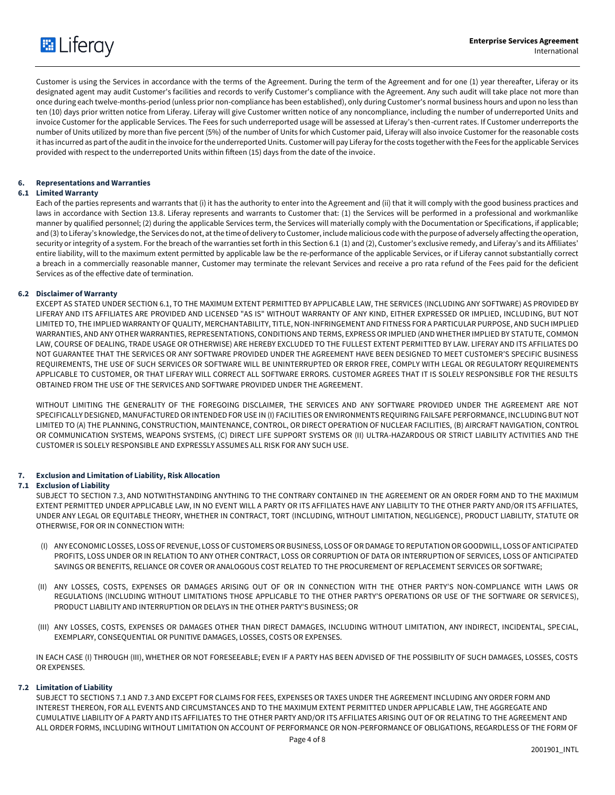

Customer is using the Services in accordance with the terms of the Agreement. During the term of the Agreement and for one (1) year thereafter, Liferay or its designated agent may audit Customer's facilities and records to verify Customer's compliance with the Agreement. Any such audit will take place not more than once during each twelve-months-period (unless prior non-compliance has been established), only during Customer's normal business hours and upon no less than ten (10) days prior written notice from Liferay. Liferay will give Customer written notice of any noncompliance, including the number of underreported Units and invoice Customer for the applicable Services. The Fees for such underreported usage will be assessed at Liferay's then-current rates. If Customer underreports the number of Units utilized by more than five percent (5%) of the number of Units for which Customer paid, Liferay will also invoice Customer for the reasonable costs it has incurred as part of the audit in the invoice for the underreported Units. Customer will pay Liferay for the costs together with the Fees for the applicable Services provided with respect to the underreported Units within fifteen (15) days from the date of the invoice.

## **6. Representations and Warranties**

## **6.1 Limited Warranty**

Each of the parties represents and warrants that (i) it has the authority to enter into the Agreement and (ii) that it will comply with the good business practices and laws in accordance with Section 13.8. Liferay represents and warrants to Customer that: (1) the Services will be performed in a professional and workmanlike manner by qualified personnel; (2) during the applicable Services term, the Services will materially comply with the Documentation or Specifications, if applicable; and (3) to Liferay's knowledge, the Services do not, at the time of delivery to Customer, include malicious code with the purpose of adversely affecting the operation, security or integrity of a system. For the breach of the warranties set forth in this Section 6.1 (1) and (2), Customer's exclusive remedy, and Liferay's and its Affiliates' entire liability, will to the maximum extent permitted by applicable law be the re-performance of the applicable Services, or if Liferay cannot substantially correct a breach in a commercially reasonable manner, Customer may terminate the relevant Services and receive a pro rata refund of the Fees paid for the deficient Services as of the effective date of termination.

## **6.2 Disclaimer of Warranty**

EXCEPT AS STATED UNDER SECTION 6.1, TO THE MAXIMUM EXTENT PERMITTED BY APPLICABLE LAW, THE SERVICES (INCLUDING ANY SOFTWARE) AS PROVIDED BY LIFERAY AND ITS AFFILIATES ARE PROVIDED AND LICENSED "AS IS" WITHOUT WARRANTY OF ANY KIND, EITHER EXPRESSED OR IMPLIED, INCLUDING, BUT NOT LIMITED TO, THE IMPLIED WARRANTY OF QUALITY, MERCHANTABILITY, TITLE, NON-INFRINGEMENT AND FITNESS FOR A PARTICULAR PURPOSE, AND SUCH IMPLIED WARRANTIES, AND ANY OTHER WARRANTIES, REPRESENTATIONS, CONDITIONS AND TERMS, EXPRESS OR IMPLIED (AND WHETHER IMPLIED BY STATUTE, COMMON LAW, COURSE OF DEALING, TRADE USAGE OR OTHERWISE) ARE HEREBY EXCLUDED TO THE FULLEST EXTENT PERMITTED BY LAW. LIFERAY AND ITS AFFILIATES DO NOT GUARANTEE THAT THE SERVICES OR ANY SOFTWARE PROVIDED UNDER THE AGREEMENT HAVE BEEN DESIGNED TO MEET CUSTOMER'S SPECIFIC BUSINESS REQUIREMENTS, THE USE OF SUCH SERVICES OR SOFTWARE WILL BE UNINTERRUPTED OR ERROR FREE, COMPLY WITH LEGAL OR REGULATORY REQUIREMENTS APPLICABLE TO CUSTOMER, OR THAT LIFERAY WILL CORRECT ALL SOFTWARE ERRORS. CUSTOMER AGREES THAT IT IS SOLELY RESPONSIBLE FOR THE RESULTS OBTAINED FROM THE USE OF THE SERVICES AND SOFTWARE PROVIDED UNDER THE AGREEMENT.

WITHOUT LIMITING THE GENERALITY OF THE FOREGOING DISCLAIMER, THE SERVICES AND ANY SOFTWARE PROVIDED UNDER THE AGREEMENT ARE NOT SPECIFICALLY DESIGNED, MANUFACTURED OR INTENDED FOR USE IN (I) FACILITIES OR ENVIRONMENTS REQUIRING FAILSAFE PERFORMANCE, INCLUDING BUT NOT LIMITED TO (A) THE PLANNING, CONSTRUCTION, MAINTENANCE, CONTROL, OR DIRECT OPERATION OF NUCLEAR FACILITIES, (B) AIRCRAFT NAVIGATION, CONTROL OR COMMUNICATION SYSTEMS, WEAPONS SYSTEMS, (C) DIRECT LIFE SUPPORT SYSTEMS OR (II) ULTRA-HAZARDOUS OR STRICT LIABILITY ACTIVITIES AND THE CUSTOMER IS SOLELY RESPONSIBLE AND EXPRESSLY ASSUMES ALL RISK FOR ANY SUCH USE.

## **7. Exclusion and Limitation of Liability, Risk Allocation**

## **7.1 Exclusion of Liability**

SUBJECT TO SECTION 7.3, AND NOTWITHSTANDING ANYTHING TO THE CONTRARY CONTAINED IN THE AGREEMENT OR AN ORDER FORM AND TO THE MAXIMUM EXTENT PERMITTED UNDER APPLICABLE LAW, IN NO EVENT WILL A PARTY OR ITS AFFILIATES HAVE ANY LIABILITY TO THE OTHER PARTY AND/OR ITS AFFILIATES, UNDER ANY LEGAL OR EQUITABLE THEORY, WHETHER IN CONTRACT, TORT (INCLUDING, WITHOUT LIMITATION, NEGLIGENCE), PRODUCT LIABILITY, STATUTE OR OTHERWISE, FOR OR IN CONNECTION WITH:

- (I) ANY ECONOMIC LOSSES, LOSS OF REVENUE, LOSS OF CUSTOMERS OR BUSINESS, LOSS OF OR DAMAGE TO REPUTATION OR GOODWILL, LOSS OF ANTICIPATED PROFITS, LOSS UNDER OR IN RELATION TO ANY OTHER CONTRACT, LOSS OR CORRUPTION OF DATA OR INTERRUPTION OF SERVICES, LOSS OF ANTICIPATED SAVINGS OR BENEFITS, RELIANCE OR COVER OR ANALOGOUS COST RELATED TO THE PROCUREMENT OF REPLACEMENT SERVICES OR SOFTWARE;
- (II) ANY LOSSES, COSTS, EXPENSES OR DAMAGES ARISING OUT OF OR IN CONNECTION WITH THE OTHER PARTY'S NON-COMPLIANCE WITH LAWS OR REGULATIONS (INCLUDING WITHOUT LIMITATIONS THOSE APPLICABLE TO THE OTHER PARTY'S OPERATIONS OR USE OF THE SOFTWARE OR SERVICES), PRODUCT LIABILITY AND INTERRUPTION OR DELAYS IN THE OTHER PARTY'S BUSINESS; OR
- (III) ANY LOSSES, COSTS, EXPENSES OR DAMAGES OTHER THAN DIRECT DAMAGES, INCLUDING WITHOUT LIMITATION, ANY INDIRECT, INCIDENTAL, SPECIAL, EXEMPLARY, CONSEQUENTIAL OR PUNITIVE DAMAGES, LOSSES, COSTS OR EXPENSES.

IN EACH CASE (I) THROUGH (III), WHETHER OR NOT FORESEEABLE; EVEN IF A PARTY HAS BEEN ADVISED OF THE POSSIBILITY OF SUCH DAMAGES, LOSSES, COSTS OR EXPENSES.

# **7.2 Limitation of Liability**

SUBJECT TO SECTIONS 7.1 AND 7.3 AND EXCEPT FOR CLAIMS FOR FEES, EXPENSES OR TAXES UNDER THE AGREEMENT INCLUDING ANY ORDER FORM AND INTEREST THEREON, FOR ALL EVENTS AND CIRCUMSTANCES AND TO THE MAXIMUM EXTENT PERMITTED UNDER APPLICABLE LAW, THE AGGREGATE AND CUMULATIVE LIABILITY OF A PARTY AND ITS AFFILIATES TO THE OTHER PARTY AND/OR ITS AFFILIATES ARISING OUT OF OR RELATING TO THE AGREEMENT AND ALL ORDER FORMS, INCLUDING WITHOUT LIMITATION ON ACCOUNT OF PERFORMANCE OR NON-PERFORMANCE OF OBLIGATIONS, REGARDLESS OF THE FORM OF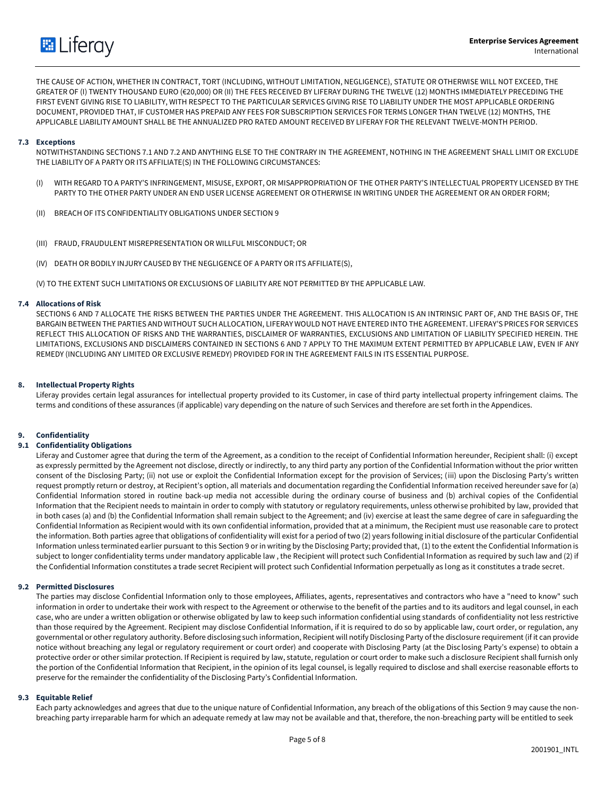

THE CAUSE OF ACTION, WHETHER IN CONTRACT, TORT (INCLUDING, WITHOUT LIMITATION, NEGLIGENCE), STATUTE OR OTHERWISE WILL NOT EXCEED, THE GREATER OF (I) TWENTY THOUSAND EURO (€20,000) OR (II) THE FEES RECEIVED BY LIFERAY DURING THE TWELVE (12) MONTHS IMMEDIATELY PRECEDING THE FIRST EVENT GIVING RISE TO LIABILITY, WITH RESPECT TO THE PARTICULAR SERVICES GIVING RISE TO LIABILITY UNDER THE MOST APPLICABLE ORDERING DOCUMENT, PROVIDED THAT, IF CUSTOMER HAS PREPAID ANY FEES FOR SUBSCRIPTION SERVICES FOR TERMS LONGER THAN TWELVE (12) MONTHS, THE APPLICABLE LIABILITY AMOUNT SHALL BE THE ANNUALIZED PRO RATED AMOUNT RECEIVED BY LIFERAY FOR THE RELEVANT TWELVE-MONTH PERIOD.

## **7.3 Exceptions**

NOTWITHSTANDING SECTIONS 7.1 AND 7.2 AND ANYTHING ELSE TO THE CONTRARY IN THE AGREEMENT, NOTHING IN THE AGREEMENT SHALL LIMIT OR EXCLUDE THE LIABILITY OF A PARTY OR ITS AFFILIATE(S) IN THE FOLLOWING CIRCUMSTANCES:

- WITH REGARD TO A PARTY'S INFRINGEMENT, MISUSE, EXPORT, OR MISAPPROPRIATION OF THE OTHER PARTY'S INTELLECTUAL PROPERTY LICENSED BY THE PARTY TO THE OTHER PARTY UNDER AN END USER LICENSE AGREEMENT OR OTHERWISE IN WRITING UNDER THE AGREEMENT OR AN ORDER FORM;
- (II) BREACH OF ITS CONFIDENTIALITY OBLIGATIONS UNDER SECTION 9
- (III) FRAUD, FRAUDULENT MISREPRESENTATION OR WILLFUL MISCONDUCT; OR
- (IV) DEATH OR BODILY INJURY CAUSED BY THE NEGLIGENCE OF A PARTY OR ITS AFFILIATE(S),

(V) TO THE EXTENT SUCH LIMITATIONS OR EXCLUSIONS OF LIABILITY ARE NOT PERMITTED BY THE APPLICABLE LAW.

## **7.4 Allocations of Risk**

SECTIONS 6 AND 7 ALLOCATE THE RISKS BETWEEN THE PARTIES UNDER THE AGREEMENT. THIS ALLOCATION IS AN INTRINSIC PART OF, AND THE BASIS OF, THE BARGAIN BETWEEN THE PARTIES AND WITHOUT SUCH ALLOCATION, LIFERAY WOULD NOT HAVE ENTERED INTO THE AGREEMENT. LIFERAY'S PRICES FOR SERVICES REFLECT THIS ALLOCATION OF RISKS AND THE WARRANTIES, DISCLAIMER OF WARRANTIES, EXCLUSIONS AND LIMITATION OF LIABILITY SPECIFIED HEREIN. THE LIMITATIONS, EXCLUSIONS AND DISCLAIMERS CONTAINED IN SECTIONS 6 AND 7 APPLY TO THE MAXIMUM EXTENT PERMITTED BY APPLICABLE LAW, EVEN IF ANY REMEDY (INCLUDING ANY LIMITED OR EXCLUSIVE REMEDY) PROVIDED FOR IN THE AGREEMENT FAILS IN ITS ESSENTIAL PURPOSE.

## **8. Intellectual Property Rights**

Liferay provides certain legal assurances for intellectual property provided to its Customer, in case of third party intellectual property infringement claims. The terms and conditions of these assurances (if applicable) vary depending on the nature of such Services and therefore are set forth in the Appendices.

# **9. Confidentiality**

## **9.1 Confidentiality Obligations**

Liferay and Customer agree that during the term of the Agreement, as a condition to the receipt of Confidential Information hereunder, Recipient shall: (i) except as expressly permitted by the Agreement not disclose, directly or indirectly, to any third party any portion of the Confidential Information without the prior written consent of the Disclosing Party; (ii) not use or exploit the Confidential Information except for the provision of Services; (iii) upon the Disclosing Party's written request promptly return or destroy, at Recipient's option, all materials and documentation regarding the Confidential Information received hereunder save for (a) Confidential Information stored in routine back-up media not accessible during the ordinary course of business and (b) archival copies of the Confidential Information that the Recipient needs to maintain in order to comply with statutory or regulatory requirements, unless otherwise prohibited by law, provided that in both cases (a) and (b) the Confidential Information shall remain subject to the Agreement; and (iv) exercise at least the same degree of care in safeguarding the Confidential Information as Recipient would with its own confidential information, provided that at a minimum, the Recipient must use reasonable care to protect the information. Both parties agree that obligations of confidentiality will exist for a period of two (2) years following initial disclosure of the particular Confidential Information unless terminated earlier pursuant to this Section 9 or in writing by the Disclosing Party; provided that, (1) to the extent the Confidential Information is subject to longer confidentiality terms under mandatory applicable law, the Recipient will protect such Confidential Information as required by such law and (2) if the Confidential Information constitutes a trade secret Recipient will protect such Confidential Information perpetually as long as it constitutes a trade secret.

## **9.2 Permitted Disclosures**

The parties may disclose Confidential Information only to those employees, Affiliates, agents, representatives and contractors who have a "need to know" such information in order to undertake their work with respect to the Agreement or otherwise to the benefit of the parties and to its auditors and legal counsel, in each case, who are under a written obligation or otherwise obligated by law to keep such information confidential using standards of confidentiality not less restrictive than those required by the Agreement. Recipient may disclose Confidential Information, if it is required to do so by applicable law, court order, or regulation, any governmental or other regulatory authority. Before disclosing such information, Recipient will notify Disclosing Party of the disclosure requirement (if it can provide notice without breaching any legal or regulatory requirement or court order) and cooperate with Disclosing Party (at the Disclosing Party's expense) to obtain a protective order or other similar protection. If Recipient is required by law, statute, regulation or court order to make such a disclosure Recipient shall furnish only the portion of the Confidential Information that Recipient, in the opinion of its legal counsel, is legally required to disclose and shall exercise reasonable efforts to preserve for the remainder the confidentiality of the Disclosing Party's Confidential Information.

## **9.3 Equitable Relief**

Each party acknowledges and agrees that due to the unique nature of Confidential Information, any breach of the obligations of this Section 9 may cause the nonbreaching party irreparable harm for which an adequate remedy at law may not be available and that, therefore, the non-breaching party will be entitled to seek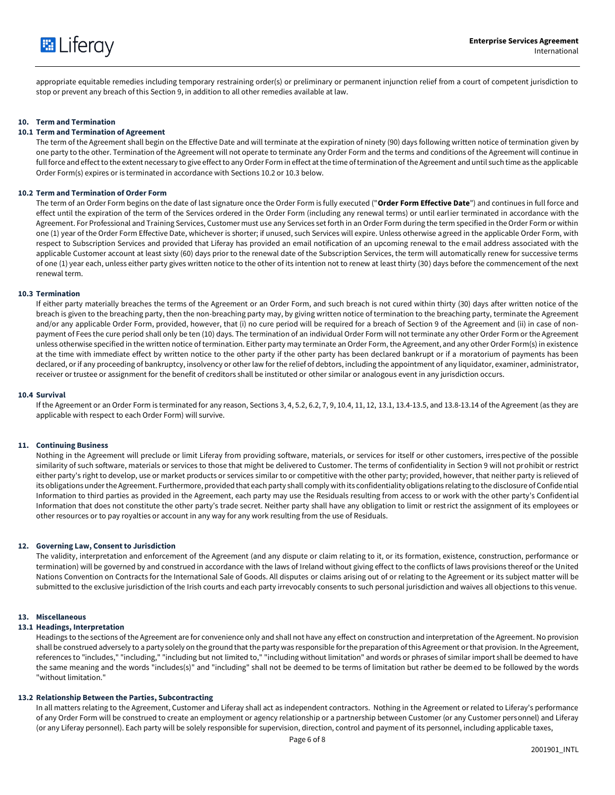

appropriate equitable remedies including temporary restraining order(s) or preliminary or permanent injunction relief from a court of competent jurisdiction to stop or prevent any breach of this Section 9, in addition to all other remedies available at law.

## **10. Term and Termination**

## **10.1 Term and Termination of Agreement**

The term of the Agreement shall begin on the Effective Date and will terminate at the expiration of ninety (90) days following written notice of termination given by one party to the other. Termination of the Agreement will not operate to terminate any Order Form and the terms and conditions of the Agreement will continue in full force and effect to the extent necessary to give effect to any Order Form in effect at the time of termination of the Agreement and until such time as the applicable Order Form(s) expires or is terminated in accordance with Sections 10.2 or 10.3 below.

#### **10.2 Term and Termination of Order Form**

The term of an Order Form begins on the date of last signature once the Order Form is fully executed ("**Order Form Effective Date**") and continues in full force and effect until the expiration of the term of the Services ordered in the Order Form (including any renewal terms) or until earlier terminated in accordance with the Agreement. For Professional and Training Services, Customer must use any Services set forth in an Order Form during the term specified in the Order Form or within one (1) year of the Order Form Effective Date, whichever is shorter; if unused, such Services will expire. Unless otherwise agreed in the applicable Order Form, with respect to Subscription Services and provided that Liferay has provided an email notification of an upcoming renewal to the email address associated with the applicable Customer account at least sixty (60) days prior to the renewal date of the Subscription Services, the term will automatically renew for successive terms of one (1) year each, unless either party gives written notice to the other of its intention not to renew at least thirty (30) days before the commencement of the next renewal term.

#### **10.3 Termination**

If either party materially breaches the terms of the Agreement or an Order Form, and such breach is not cured within thirty (30) days after written notice of the breach is given to the breaching party, then the non-breaching party may, by giving written notice of termination to the breaching party, terminate the Agreement and/or any applicable Order Form, provided, however, that (i) no cure period will be required for a breach of Section 9 of the Agreement and (ii) in case of nonpayment of Fees the cure period shall only be ten (10) days. The termination of an individual Order Form will not terminate any other Order Form or the Agreement unless otherwise specified in the written notice of termination. Either party may terminate an Order Form, the Agreement, and any other Order Form(s) in existence at the time with immediate effect by written notice to the other party if the other party has been declared bankrupt or if a moratorium of payments has been declared, or if any proceeding of bankruptcy, insolvency or other law for the relief of debtors, including the appointment of any liquidator, examiner, administrator, receiver or trustee or assignment for the benefit of creditors shall be instituted or other similar or analogous event in any jurisdiction occurs.

#### **10.4 Survival**

If the Agreement or an Order Form is terminated for any reason, Sections 3, 4, 5.2, 6.2, 7, 9, 10.4, 11, 12, 13.1, 13.4-13.5, and 13.8-13.14 of the Agreement (as they are applicable with respect to each Order Form) will survive.

#### **11. Continuing Business**

Nothing in the Agreement will preclude or limit Liferay from providing software, materials, or services for itself or other customers, irrespective of the possible similarity of such software, materials or services to those that might be delivered to Customer. The terms of confidentiality in Section 9 will not prohibit or restrict either party's right to develop, use or market products or services similar to or competitive with the other party; provided, however, that neither party is relieved of its obligations under the Agreement. Furthermore, provided that each party shall comply with its confidentiality obligations relating to the disclosure of Confidential Information to third parties as provided in the Agreement, each party may use the Residuals resulting from access to or work with the other party's Confidential Information that does not constitute the other party's trade secret. Neither party shall have any obligation to limit or restrict the assignment of its employees or other resources or to pay royalties or account in any way for any work resulting from the use of Residuals.

#### **12. Governing Law, Consent to Jurisdiction**

The validity, interpretation and enforcement of the Agreement (and any dispute or claim relating to it, or its formation, existence, construction, performance or termination) will be governed by and construed in accordance with the laws of Ireland without giving effect to the conflicts of laws provisions thereof or the United Nations Convention on Contracts for the International Sale of Goods. All disputes or claims arising out of or relating to the Agreement or its subject matter will be submitted to the exclusive jurisdiction of the Irish courts and each party irrevocably consents to such personal jurisdiction and waives all objections to this venue.

## **13. Miscellaneous**

#### **13.1 Headings, Interpretation**

Headings to the sections of the Agreement are for convenience only and shall not have any effect on construction and interpretation of the Agreement. No provision shall be construed adversely to a party solely on the ground that the party was responsible for the preparation of this Agreement or that provision. In the Agreement, references to "includes," "including," "including but not limited to," "including without limitation" and words or phrases of similar import shall be deemed to have the same meaning and the words "includes(s)" and "including" shall not be deemed to be terms of limitation but rather be deemed to be followed by the words "without limitation."

## **13.2 Relationship Between the Parties, Subcontracting**

In all matters relating to the Agreement, Customer and Liferay shall act as independent contractors. Nothing in the Agreement or related to Liferay's performance of any Order Form will be construed to create an employment or agency relationship or a partnership between Customer (or any Customer personnel) and Liferay (or any Liferay personnel). Each party will be solely responsible for supervision, direction, control and payment of its personnel, including applicable taxes,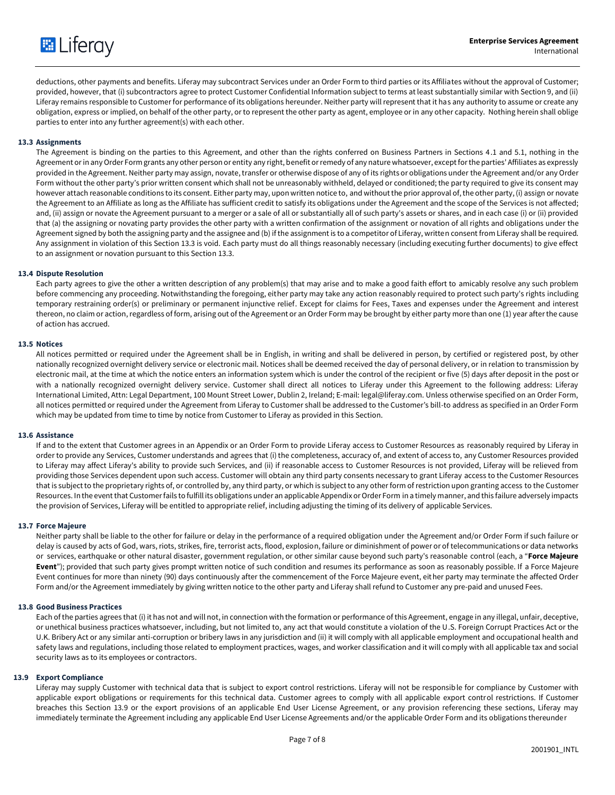

deductions, other payments and benefits. Liferay may subcontract Services under an Order Form to third parties or its Affiliates without the approval of Customer; provided, however, that (i) subcontractors agree to protect Customer Confidential Information subject to terms at least substantially similar with Section 9, and (ii) Liferay remains responsible to Customer for performance of its obligations hereunder. Neither party will represent that it has any authority to assume or create any obligation, express or implied, on behalf of the other party, or to represent the other party as agent, employee or in any other capacity. Nothing herein shall oblige parties to enter into any further agreement(s) with each other.

# **13.3 Assignments**

The Agreement is binding on the parties to this Agreement, and other than the rights conferred on Business Partners in Sections 4.1 and 5.1, nothing in the Agreement or in any Order Form grants any other person or entity any right, benefit or remedy of any nature whatsoever, except for the parties' Affiliates as expressly provided in the Agreement. Neither party may assign, novate, transfer or otherwise dispose of any of its rights or obligations under the Agreement and/or any Order Form without the other party's prior written consent which shall not be unreasonably withheld, delayed or conditioned; the party required to give its consent may however attach reasonable conditions to its consent. Either party may, upon written notice to, and without the prior approval of, the other party, (i) assign or novate the Agreement to an Affiliate as long as the Affiliate has sufficient credit to satisfy its obligations under the Agreement and the scope of the Services is not affected; and, (ii) assign or novate the Agreement pursuant to a merger or a sale of all or substantially all of such party's assets or shares, and in each case (i) or (ii) provided that (a) the assigning or novating party provides the other party with a written confirmation of the assignment or novation of all rights and obligations under the Agreement signed by both the assigning party and the assignee and (b) if the assignment is to a competitor of Liferay, written consent from Liferay shall be required. Any assignment in violation of this Section 13.3 is void. Each party must do all things reasonably necessary (including executing further documents) to give effect to an assignment or novation pursuant to this Section 13.3.

## **13.4 Dispute Resolution**

Each party agrees to give the other a written description of any problem(s) that may arise and to make a good faith effort to amicably resolve any such problem before commencing any proceeding. Notwithstanding the foregoing, either party may take any action reasonably required to protect such party's rights including temporary restraining order(s) or preliminary or permanent injunctive relief. Except for claims for Fees, Taxes and expenses under the Agreement and interest thereon, no claim or action, regardless of form, arising out of the Agreement or an Order Form may be brought by either party more than one (1) year after the cause of action has accrued.

## **13.5 Notices**

All notices permitted or required under the Agreement shall be in English, in writing and shall be delivered in person, by certified or registered post, by other nationally recognized overnight delivery service or electronic mail. Notices shall be deemed received the day of personal delivery, or in relation to transmission by electronic mail, at the time at which the notice enters an information system which is under the control of the recipient or five (5) days after deposit in the post or with a nationally recognized overnight delivery service. Customer shall direct all notices to Liferay under this Agreement to the following address: Liferay International Limited, Attn: Legal Department, 100 Mount Street Lower, Dublin 2, Ireland; E-mail: legal@liferay.com. Unless otherwise specified on an Order Form, all notices permitted or required under the Agreement from Liferay to Customer shall be addressed to the Customer's bill-to address as specified in an Order Form which may be updated from time to time by notice from Customer to Liferay as provided in this Section.

#### **13.6 Assistance**

If and to the extent that Customer agrees in an Appendix or an Order Form to provide Liferay access to Customer Resources as reasonably required by Liferay in order to provide any Services, Customer understands and agrees that (i) the completeness, accuracy of, and extent of access to, any Customer Resources provided to Liferay may affect Liferay's ability to provide such Services, and (ii) if reasonable access to Customer Resources is not provided, Liferay will be relieved from providing those Services dependent upon such access. Customer will obtain any third party consents necessary to grant Liferay access to the Customer Resources that is subject to the proprietary rights of, or controlled by, any third party, or which is subject to any other form of restriction upon granting access to the Customer Resources. In the event that Customer fails to fulfill its obligations under an applicable Appendix or Order Form in a timely manner, and this failure adversely impacts the provision of Services, Liferay will be entitled to appropriate relief, including adjusting the timing of its delivery of applicable Services.

#### **13.7 Force Majeure**

Neither party shall be liable to the other for failure or delay in the performance of a required obligation under the Agreement and/or Order Form if such failure or delay is caused by acts of God, wars, riots, strikes, fire, terrorist acts, flood, explosion, failure or diminishment of power or of telecommunications or data networks or services, earthquake or other natural disaster, government regulation, or other similar cause beyond such party's reasonable control (each, a "**Force Majeure Event**"); provided that such party gives prompt written notice of such condition and resumes its performance as soon as reasonably possible. If a Force Majeure Event continues for more than ninety (90) days continuously after the commencement of the Force Majeure event, either party may terminate the affected Order Form and/or the Agreement immediately by giving written notice to the other party and Liferay shall refund to Customer any pre-paid and unused Fees.

## **13.8 Good Business Practices**

Each of the parties agrees that (i) it has not and will not, in connection with the formation or performance of this Agreement, engage in any illegal, unfair, deceptive, or unethical business practices whatsoever, including, but not limited to, any act that would constitute a violation of the U.S. Foreign Corrupt Practices Act or the U.K. Bribery Act or any similar anti-corruption or bribery laws in any jurisdiction and (ii) it will comply with all applicable employment and occupational health and safety laws and regulations, including those related to employment practices, wages, and worker classification and it will comply with all applicable tax and social security laws as to its employees or contractors.

## **13.9 Export Compliance**

Liferay may supply Customer with technical data that is subject to export control restrictions. Liferay will not be responsible for compliance by Customer with applicable export obligations or requirements for this technical data. Customer agrees to comply with all applicable export control restrictions. If Customer breaches this Section 13.9 or the export provisions of an applicable End User License Agreement, or any provision referencing these sections, Liferay may immediately terminate the Agreement including any applicable End User License Agreements and/or the applicable Order Form and its obligations thereunder